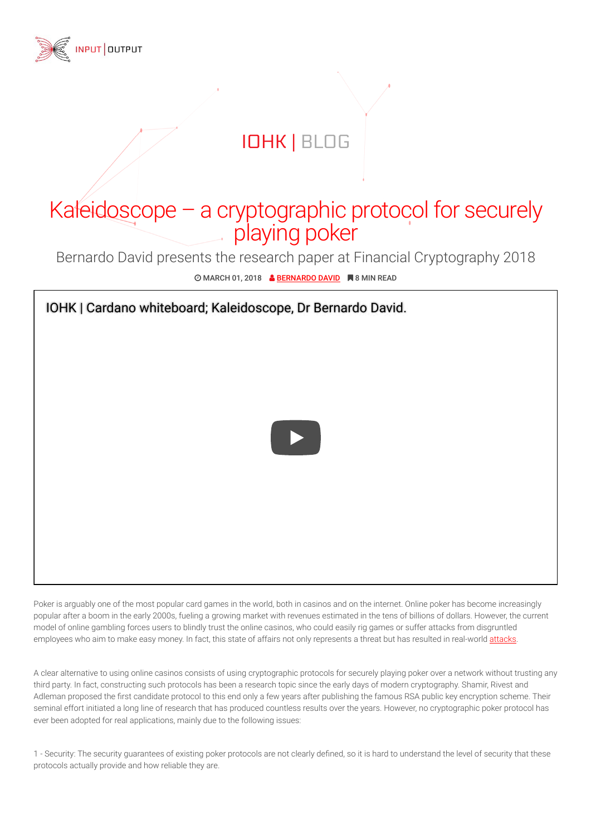

## IOHK | BLOG

## Kaleidoscope – a cryptographic protocol for securely playing poker

Bernardo David presents the research paper at Financial Cryptography 2018

© MARCH 01, 2018 & BERNARDO DAVID ■ 8 MIN READ

IOHK | Cardano whiteboard; Kaleidoscope, Dr Bernardo David.



Poker is arguably one of the most popular card games in the world, both in casinos and on the internet. Online poker has become increasingly popular after a boom in the early 2000s, fueling a growing market with revenues estimated in the tens of billions of dollars. However, the current model of online gambling forces users to blindly trust the online casinos, who could easily rig games or suffer attacks from disgruntled employees who aim to make easy money. In fact, this state of affairs not only represents a threat but has resulted in real-world attacks.

A clear alternative to using online casinos consists of using cryptographic protocols for securely playing poker over a network without trusting any third party. In fact, constructing such protocols has been a research topic since the early days of modern cryptography. Shamir, Rivest and Adleman proposed the first candidate protocol to this end only a few years after publishing the famous RSA public key encryption scheme. Their seminal effort initiated a long line of research that has produced countless results over the years. However, no cryptographic poker protocol has ever been adopted for real applications, mainly due to the following issues:

1 - Security: The security guarantees of existing poker protocols are not clearly defined, so it is hard to understand the level of security that these protocols actually provide and how reliable they are.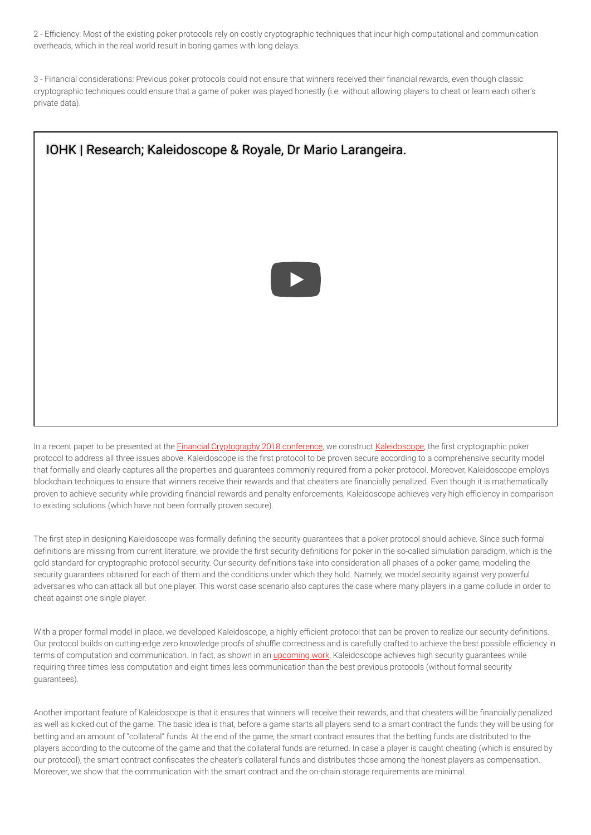2 - Eciency: Most of the existing poker protocols rely on costly cryptographic techniques that incur high computational and communication overheads, which in the real world result in boring games with long delays.

3 - Financial considerations: Previous poker protocols could not ensure that winners received their nancial rewards, even though classic cryptographic techniques could ensure that a game of poker was played honestly (i.e. without allowing players to cheat or learn each other's private data).



In a recent paper to be presented at the Financial Cryptography 2018 conference, we construct Kaleidoscope, the first cryptographic poker protocol to address all three issues above. Kaleidoscope is the first protocol to be proven secure according to a comprehensive security model that formally and clearly captures all the properties and guarantees commonly required from a poker protocol. Moreover, Kaleidoscope employs blockchain techniques to ensure that winners receive their rewards and that cheaters are financially penalized. Even though it is mathematically proven to achieve security while providing financial rewards and penalty enforcements, Kaleidoscope achieves very high efficiency in comparison to existing solutions (which have not been formally proven secure).

The first step in designing Kaleidoscope was formally defining the security guarantees that a poker protocol should achieve. Since such formal definitions are missing from current literature, we provide the first security definitions for poker in the so-called simulation paradigm, which is the gold standard for cryptographic protocol security. Our security definitions take into consideration all phases of a poker game, modeling the security guarantees obtained for each of them and the conditions under which they hold. Namely, we model security against very powerful adversaries who can attack all but one player. This worst case scenario also captures the case where many players in a game collude in order to cheat against one single player.

With a proper formal model in place, we developed Kaleidoscope, a highly efficient protocol that can be proven to realize our security definitions. Our protocol builds on cutting-edge zero knowledge proofs of shuffle correctness and is carefully crafted to achieve the best possible efficiency in terms of computation and communication. In fact, as shown in an *upcoming work*, Kaleidoscope achieves high security guarantees while requiring three times less computation and eight times less communication than the best previous protocols (without formal security guarantees).

Another important feature of Kaleidoscope is that it ensures that winners will receive their rewards, and that cheaters will be financially penalized as well as kicked out of the game. The basic idea is that, before a game starts all players send to a smart contract the funds they will be using for betting and an amount of "collateral" funds. At the end of the game, the smart contract ensures that the betting funds are distributed to the players according to the outcome of the game and that the collateral funds are returned. In case a player is caught cheating (which is ensured by our protocol), the smart contract confiscates the cheater's collateral funds and distributes those among the honest players as compensation. Moreover, we show that the communication with the smart contract and the on-chain storage requirements are minimal.